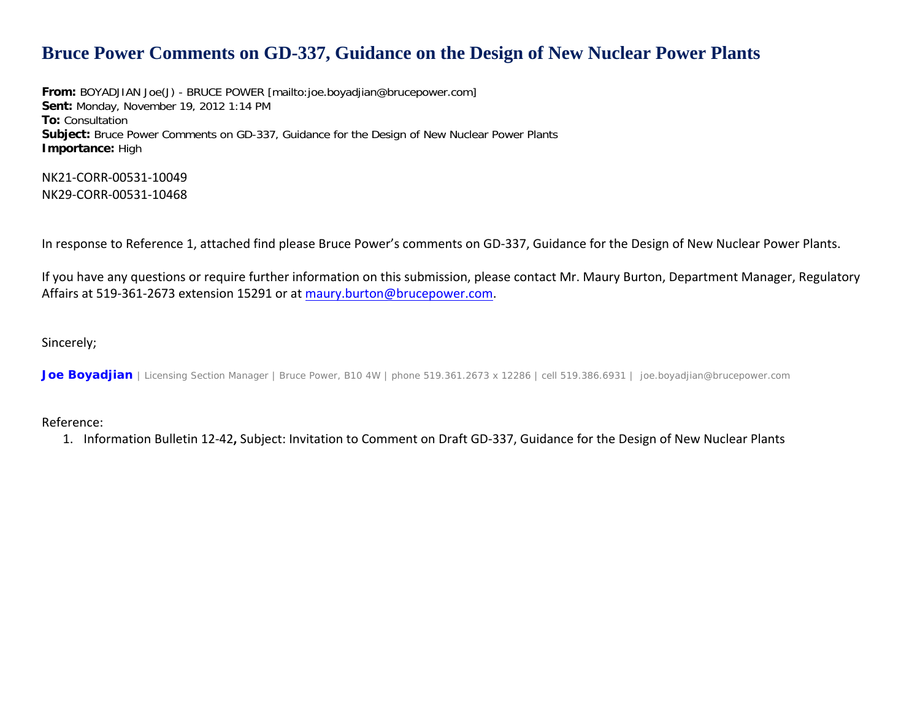## **Bruce Power Comments on GD-337, Guidance on the Design of New Nuclear Power Plants**

**From:** BOYADJIAN Joe(J) - BRUCE POWER [mailto:joe.boyadjian@brucepower.com] **Sent:** Monday, November 19, 2012 1:14 PM **To:** Consultation **Subject:** Bruce Power Comments on GD-337, Guidance for the Design of New Nuclear Power Plants **Importance:** High

NK21‐CORR‐00531‐10049 NK29‐CORR‐00531‐10468

In response to Reference 1, attached find please Bruce Power's comments on GD‐337, Guidance for the Design of New Nuclear Power Plants.

If you have any questions or require further information on this submission, please contact Mr. Maury Burton, Department Manager, Regulatory Affairs at 519-361-2673 extension 15291 or at <u>[maury.burton@brucepower.com](mailto:maury.burton@brucepower.com)</u>.

Sincerely;

*Joe Boyadjian* | Licensing Section Manager | Bruce Power, B10 4W | phone 519.361.2673 x 12286 | cell 519.386.6931 | joe.boyadjian@brucepower.com

Reference:

1. Information Bulletin 12‐42**,** Subject: Invitation to Comment on Draft GD‐337, Guidance for the Design of New Nuclear Plants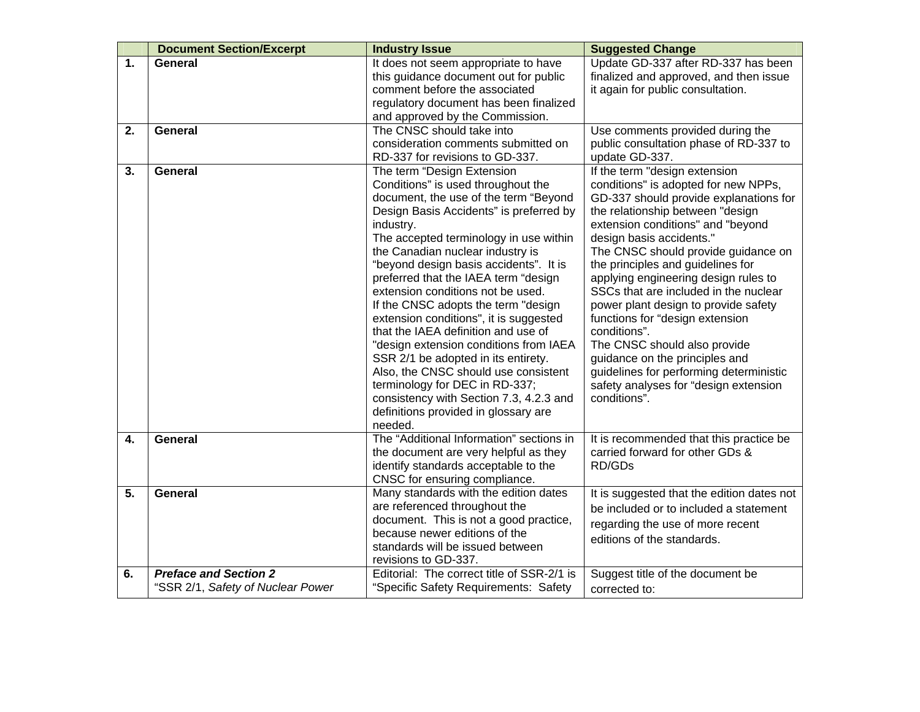|    | <b>Document Section/Excerpt</b>                                   | <b>Industry Issue</b>                                                                                                                                                                                                                                                                                                                                                                                                                                                                                                                                                                                                                                                                                                                                   | <b>Suggested Change</b>                                                                                                                                                                                                                                                                                                                                                                                                                                                                                                                                                                                                                            |
|----|-------------------------------------------------------------------|---------------------------------------------------------------------------------------------------------------------------------------------------------------------------------------------------------------------------------------------------------------------------------------------------------------------------------------------------------------------------------------------------------------------------------------------------------------------------------------------------------------------------------------------------------------------------------------------------------------------------------------------------------------------------------------------------------------------------------------------------------|----------------------------------------------------------------------------------------------------------------------------------------------------------------------------------------------------------------------------------------------------------------------------------------------------------------------------------------------------------------------------------------------------------------------------------------------------------------------------------------------------------------------------------------------------------------------------------------------------------------------------------------------------|
| 1. | <b>General</b>                                                    | It does not seem appropriate to have<br>this guidance document out for public<br>comment before the associated<br>regulatory document has been finalized<br>and approved by the Commission.                                                                                                                                                                                                                                                                                                                                                                                                                                                                                                                                                             | Update GD-337 after RD-337 has been<br>finalized and approved, and then issue<br>it again for public consultation.                                                                                                                                                                                                                                                                                                                                                                                                                                                                                                                                 |
| 2. | <b>General</b>                                                    | The CNSC should take into<br>consideration comments submitted on<br>RD-337 for revisions to GD-337.                                                                                                                                                                                                                                                                                                                                                                                                                                                                                                                                                                                                                                                     | Use comments provided during the<br>public consultation phase of RD-337 to<br>update GD-337.                                                                                                                                                                                                                                                                                                                                                                                                                                                                                                                                                       |
| 3. | <b>General</b>                                                    | The term "Design Extension<br>Conditions" is used throughout the<br>document, the use of the term "Beyond<br>Design Basis Accidents" is preferred by<br>industry.<br>The accepted terminology in use within<br>the Canadian nuclear industry is<br>"beyond design basis accidents". It is<br>preferred that the IAEA term "design<br>extension conditions not be used.<br>If the CNSC adopts the term "design<br>extension conditions", it is suggested<br>that the IAEA definition and use of<br>"design extension conditions from IAEA<br>SSR 2/1 be adopted in its entirety.<br>Also, the CNSC should use consistent<br>terminology for DEC in RD-337;<br>consistency with Section 7.3, 4.2.3 and<br>definitions provided in glossary are<br>needed. | If the term "design extension<br>conditions" is adopted for new NPPs,<br>GD-337 should provide explanations for<br>the relationship between "design<br>extension conditions" and "beyond<br>design basis accidents."<br>The CNSC should provide guidance on<br>the principles and guidelines for<br>applying engineering design rules to<br>SSCs that are included in the nuclear<br>power plant design to provide safety<br>functions for "design extension<br>conditions".<br>The CNSC should also provide<br>guidance on the principles and<br>guidelines for performing deterministic<br>safety analyses for "design extension<br>conditions". |
| 4. | <b>General</b>                                                    | The "Additional Information" sections in<br>the document are very helpful as they<br>identify standards acceptable to the<br>CNSC for ensuring compliance.                                                                                                                                                                                                                                                                                                                                                                                                                                                                                                                                                                                              | It is recommended that this practice be<br>carried forward for other GDs &<br>RD/GDs                                                                                                                                                                                                                                                                                                                                                                                                                                                                                                                                                               |
| 5. | <b>General</b>                                                    | Many standards with the edition dates<br>are referenced throughout the<br>document. This is not a good practice,<br>because newer editions of the<br>standards will be issued between<br>revisions to GD-337.                                                                                                                                                                                                                                                                                                                                                                                                                                                                                                                                           | It is suggested that the edition dates not<br>be included or to included a statement<br>regarding the use of more recent<br>editions of the standards.                                                                                                                                                                                                                                                                                                                                                                                                                                                                                             |
| 6. | <b>Preface and Section 2</b><br>"SSR 2/1, Safety of Nuclear Power | Editorial: The correct title of SSR-2/1 is<br>"Specific Safety Requirements: Safety                                                                                                                                                                                                                                                                                                                                                                                                                                                                                                                                                                                                                                                                     | Suggest title of the document be<br>corrected to:                                                                                                                                                                                                                                                                                                                                                                                                                                                                                                                                                                                                  |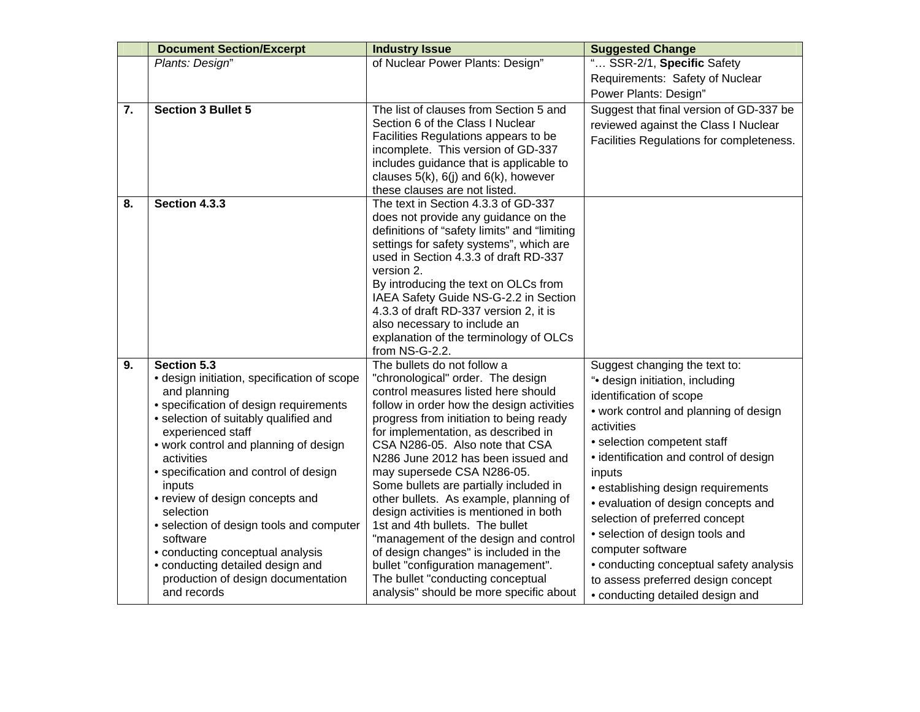|    | <b>Document Section/Excerpt</b>                     | <b>Industry Issue</b>                                                         | <b>Suggested Change</b>                  |
|----|-----------------------------------------------------|-------------------------------------------------------------------------------|------------------------------------------|
|    | Plants: Design"                                     | of Nuclear Power Plants: Design"                                              | " SSR-2/1, Specific Safety               |
|    |                                                     |                                                                               | Requirements: Safety of Nuclear          |
|    |                                                     |                                                                               | Power Plants: Design"                    |
| 7. | <b>Section 3 Bullet 5</b>                           | The list of clauses from Section 5 and                                        | Suggest that final version of GD-337 be  |
|    |                                                     | Section 6 of the Class I Nuclear                                              | reviewed against the Class I Nuclear     |
|    |                                                     | Facilities Regulations appears to be                                          | Facilities Regulations for completeness. |
|    |                                                     | incomplete. This version of GD-337                                            |                                          |
|    |                                                     | includes guidance that is applicable to                                       |                                          |
|    |                                                     | clauses $5(k)$ , $6(j)$ and $6(k)$ , however<br>these clauses are not listed. |                                          |
| 8. | Section 4.3.3                                       | The text in Section 4.3.3 of GD-337                                           |                                          |
|    |                                                     | does not provide any guidance on the                                          |                                          |
|    |                                                     | definitions of "safety limits" and "limiting                                  |                                          |
|    |                                                     | settings for safety systems", which are                                       |                                          |
|    |                                                     | used in Section 4.3.3 of draft RD-337                                         |                                          |
|    |                                                     | version 2.                                                                    |                                          |
|    |                                                     | By introducing the text on OLCs from                                          |                                          |
|    |                                                     | IAEA Safety Guide NS-G-2.2 in Section                                         |                                          |
|    |                                                     | 4.3.3 of draft RD-337 version 2, it is                                        |                                          |
|    |                                                     | also necessary to include an<br>explanation of the terminology of OLCs        |                                          |
|    |                                                     | from NS-G-2.2.                                                                |                                          |
| 9. | Section 5.3                                         | The bullets do not follow a                                                   | Suggest changing the text to:            |
|    | · design initiation, specification of scope         | "chronological" order. The design                                             | "• design initiation, including          |
|    | and planning                                        | control measures listed here should                                           | identification of scope                  |
|    | • specification of design requirements              | follow in order how the design activities                                     | • work control and planning of design    |
|    | · selection of suitably qualified and               | progress from initiation to being ready                                       | activities                               |
|    | experienced staff                                   | for implementation, as described in                                           | • selection competent staff              |
|    | • work control and planning of design<br>activities | CSA N286-05. Also note that CSA<br>N286 June 2012 has been issued and         | • identification and control of design   |
|    | • specification and control of design               | may supersede CSA N286-05.                                                    | inputs                                   |
|    | inputs                                              | Some bullets are partially included in                                        | • establishing design requirements       |
|    | • review of design concepts and                     | other bullets. As example, planning of                                        | • evaluation of design concepts and      |
|    | selection                                           | design activities is mentioned in both                                        |                                          |
|    | · selection of design tools and computer            | 1st and 4th bullets. The bullet                                               | selection of preferred concept           |
|    | software                                            | "management of the design and control                                         | · selection of design tools and          |
|    | • conducting conceptual analysis                    | of design changes" is included in the                                         | computer software                        |
|    | • conducting detailed design and                    | bullet "configuration management".                                            | • conducting conceptual safety analysis  |
|    | production of design documentation                  | The bullet "conducting conceptual                                             | to assess preferred design concept       |
|    | and records                                         | analysis" should be more specific about                                       | • conducting detailed design and         |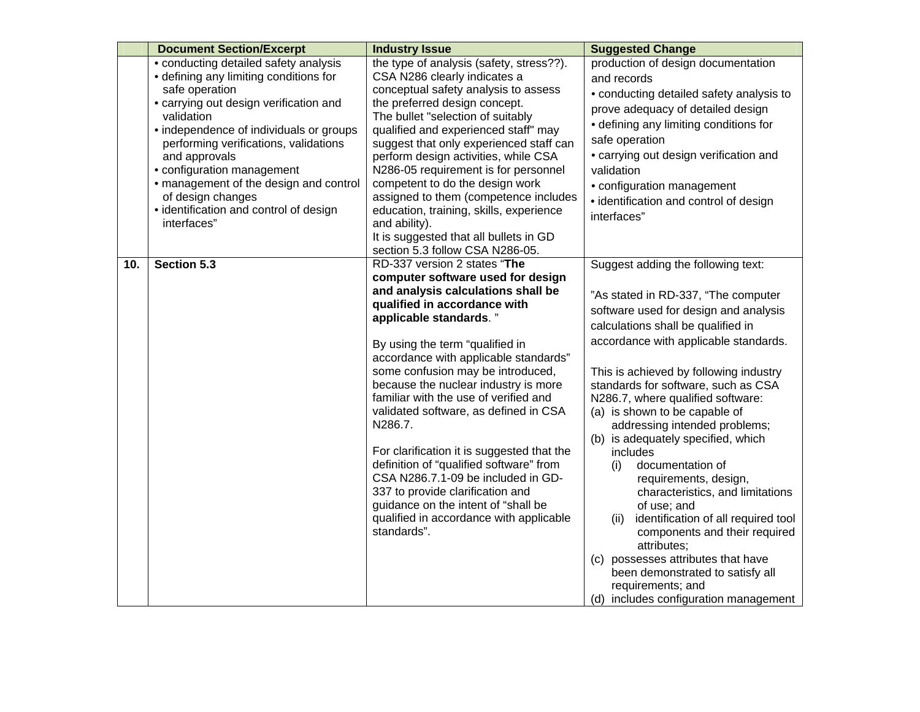|     | <b>Document Section/Excerpt</b>             | <b>Industry Issue</b>                                                        | <b>Suggested Change</b>                      |
|-----|---------------------------------------------|------------------------------------------------------------------------------|----------------------------------------------|
|     | • conducting detailed safety analysis       | the type of analysis (safety, stress??).                                     | production of design documentation           |
|     | • defining any limiting conditions for      | CSA N286 clearly indicates a                                                 | and records                                  |
|     | safe operation                              | conceptual safety analysis to assess                                         | • conducting detailed safety analysis to     |
|     | • carrying out design verification and      | the preferred design concept.                                                | prove adequacy of detailed design            |
|     | validation                                  | The bullet "selection of suitably                                            | • defining any limiting conditions for       |
|     | • independence of individuals or groups     | qualified and experienced staff" may                                         | safe operation                               |
|     | performing verifications, validations       | suggest that only experienced staff can                                      | • carrying out design verification and       |
|     | and approvals<br>• configuration management | perform design activities, while CSA<br>N286-05 requirement is for personnel | validation                                   |
|     | • management of the design and control      | competent to do the design work                                              |                                              |
|     | of design changes                           | assigned to them (competence includes                                        | • configuration management                   |
|     | • identification and control of design      | education, training, skills, experience                                      | · identification and control of design       |
|     | interfaces"                                 | and ability).                                                                | interfaces"                                  |
|     |                                             | It is suggested that all bullets in GD                                       |                                              |
|     |                                             | section 5.3 follow CSA N286-05.                                              |                                              |
| 10. | Section 5.3                                 | RD-337 version 2 states "The                                                 | Suggest adding the following text:           |
|     |                                             | computer software used for design                                            |                                              |
|     |                                             | and analysis calculations shall be                                           | "As stated in RD-337, "The computer          |
|     |                                             | qualified in accordance with                                                 | software used for design and analysis        |
|     |                                             | applicable standards."                                                       | calculations shall be qualified in           |
|     |                                             | By using the term "qualified in                                              | accordance with applicable standards.        |
|     |                                             | accordance with applicable standards"                                        |                                              |
|     |                                             | some confusion may be introduced,                                            | This is achieved by following industry       |
|     |                                             | because the nuclear industry is more                                         | standards for software, such as CSA          |
|     |                                             | familiar with the use of verified and                                        | N286.7, where qualified software:            |
|     |                                             | validated software, as defined in CSA                                        | (a) is shown to be capable of                |
|     |                                             | N286.7.                                                                      | addressing intended problems;                |
|     |                                             |                                                                              | (b) is adequately specified, which           |
|     |                                             | For clarification it is suggested that the                                   | includes                                     |
|     |                                             | definition of "qualified software" from                                      | documentation of<br>(i)                      |
|     |                                             | CSA N286.7.1-09 be included in GD-                                           | requirements, design,                        |
|     |                                             | 337 to provide clarification and                                             | characteristics, and limitations             |
|     |                                             | guidance on the intent of "shall be                                          | of use; and                                  |
|     |                                             | qualified in accordance with applicable<br>standards".                       | identification of all required tool<br>(ii)  |
|     |                                             |                                                                              | components and their required<br>attributes: |
|     |                                             |                                                                              | possesses attributes that have<br>(c)        |
|     |                                             |                                                                              | been demonstrated to satisfy all             |
|     |                                             |                                                                              | requirements; and                            |
|     |                                             |                                                                              | (d) includes configuration management        |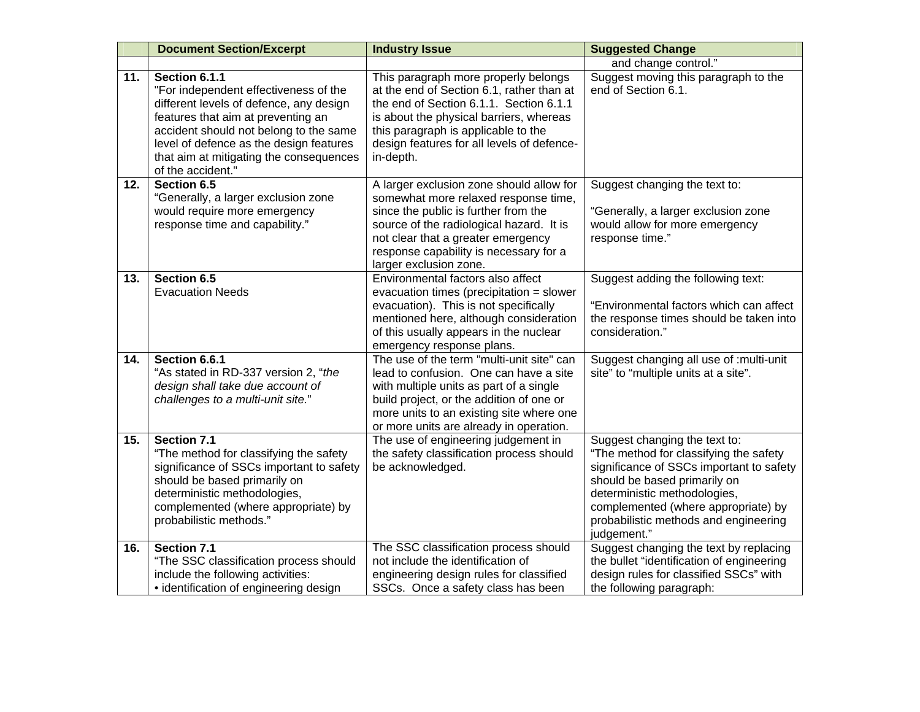|     | <b>Document Section/Excerpt</b>                                                                                                                                                                                                                                                              | <b>Industry Issue</b>                                                                                                                                                                                                                                                          | <b>Suggested Change</b>                                                                                                                                                                                                                                                            |
|-----|----------------------------------------------------------------------------------------------------------------------------------------------------------------------------------------------------------------------------------------------------------------------------------------------|--------------------------------------------------------------------------------------------------------------------------------------------------------------------------------------------------------------------------------------------------------------------------------|------------------------------------------------------------------------------------------------------------------------------------------------------------------------------------------------------------------------------------------------------------------------------------|
|     |                                                                                                                                                                                                                                                                                              |                                                                                                                                                                                                                                                                                | and change control."                                                                                                                                                                                                                                                               |
| 11. | Section 6.1.1<br>"For independent effectiveness of the<br>different levels of defence, any design<br>features that aim at preventing an<br>accident should not belong to the same<br>level of defence as the design features<br>that aim at mitigating the consequences<br>of the accident." | This paragraph more properly belongs<br>at the end of Section 6.1, rather than at<br>the end of Section 6.1.1. Section 6.1.1<br>is about the physical barriers, whereas<br>this paragraph is applicable to the<br>design features for all levels of defence-<br>in-depth.      | Suggest moving this paragraph to the<br>end of Section 6.1.                                                                                                                                                                                                                        |
| 12. | Section 6.5<br>"Generally, a larger exclusion zone<br>would require more emergency<br>response time and capability."                                                                                                                                                                         | A larger exclusion zone should allow for<br>somewhat more relaxed response time,<br>since the public is further from the<br>source of the radiological hazard. It is<br>not clear that a greater emergency<br>response capability is necessary for a<br>larger exclusion zone. | Suggest changing the text to:<br>"Generally, a larger exclusion zone<br>would allow for more emergency<br>response time."                                                                                                                                                          |
| 13. | Section 6.5<br><b>Evacuation Needs</b>                                                                                                                                                                                                                                                       | Environmental factors also affect<br>evacuation times (precipitation = slower<br>evacuation). This is not specifically<br>mentioned here, although consideration<br>of this usually appears in the nuclear<br>emergency response plans.                                        | Suggest adding the following text:<br>"Environmental factors which can affect<br>the response times should be taken into<br>consideration."                                                                                                                                        |
| 14. | Section 6.6.1<br>"As stated in RD-337 version 2, "the<br>design shall take due account of<br>challenges to a multi-unit site."                                                                                                                                                               | The use of the term "multi-unit site" can<br>lead to confusion. One can have a site<br>with multiple units as part of a single<br>build project, or the addition of one or<br>more units to an existing site where one<br>or more units are already in operation.              | Suggest changing all use of : multi-unit<br>site" to "multiple units at a site".                                                                                                                                                                                                   |
| 15. | Section 7.1<br>"The method for classifying the safety<br>significance of SSCs important to safety<br>should be based primarily on<br>deterministic methodologies,<br>complemented (where appropriate) by<br>probabilistic methods."                                                          | The use of engineering judgement in<br>the safety classification process should<br>be acknowledged.                                                                                                                                                                            | Suggest changing the text to:<br>"The method for classifying the safety<br>significance of SSCs important to safety<br>should be based primarily on<br>deterministic methodologies,<br>complemented (where appropriate) by<br>probabilistic methods and engineering<br>judgement." |
| 16. | Section 7.1<br>"The SSC classification process should<br>include the following activities:<br>• identification of engineering design                                                                                                                                                         | The SSC classification process should<br>not include the identification of<br>engineering design rules for classified<br>SSCs. Once a safety class has been                                                                                                                    | Suggest changing the text by replacing<br>the bullet "identification of engineering<br>design rules for classified SSCs" with<br>the following paragraph:                                                                                                                          |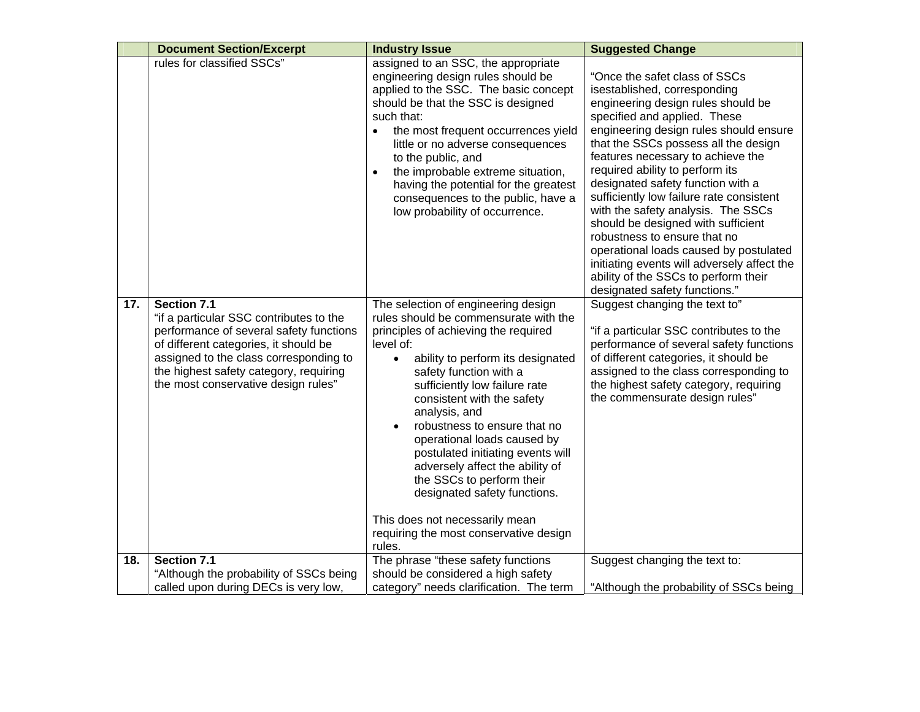|     | <b>Document Section/Excerpt</b>                                                                                                                                                                                                                                              | <b>Industry Issue</b>                                                                                                                                                                                                                                                                                                                                                                                                                                                                             | <b>Suggested Change</b>                                                                                                                                                                                                                                                                                                                                                                                                                                                                                                                                                                                                                                      |
|-----|------------------------------------------------------------------------------------------------------------------------------------------------------------------------------------------------------------------------------------------------------------------------------|---------------------------------------------------------------------------------------------------------------------------------------------------------------------------------------------------------------------------------------------------------------------------------------------------------------------------------------------------------------------------------------------------------------------------------------------------------------------------------------------------|--------------------------------------------------------------------------------------------------------------------------------------------------------------------------------------------------------------------------------------------------------------------------------------------------------------------------------------------------------------------------------------------------------------------------------------------------------------------------------------------------------------------------------------------------------------------------------------------------------------------------------------------------------------|
|     | rules for classified SSCs"                                                                                                                                                                                                                                                   | assigned to an SSC, the appropriate<br>engineering design rules should be<br>applied to the SSC. The basic concept<br>should be that the SSC is designed<br>such that:<br>the most frequent occurrences yield<br>little or no adverse consequences<br>to the public, and<br>the improbable extreme situation,<br>having the potential for the greatest<br>consequences to the public, have a<br>low probability of occurrence.                                                                    | "Once the safet class of SSCs<br>isestablished, corresponding<br>engineering design rules should be<br>specified and applied. These<br>engineering design rules should ensure<br>that the SSCs possess all the design<br>features necessary to achieve the<br>required ability to perform its<br>designated safety function with a<br>sufficiently low failure rate consistent<br>with the safety analysis. The SSCs<br>should be designed with sufficient<br>robustness to ensure that no<br>operational loads caused by postulated<br>initiating events will adversely affect the<br>ability of the SSCs to perform their<br>designated safety functions." |
| 17. | <b>Section 7.1</b><br>"if a particular SSC contributes to the<br>performance of several safety functions<br>of different categories, it should be<br>assigned to the class corresponding to<br>the highest safety category, requiring<br>the most conservative design rules" | The selection of engineering design<br>rules should be commensurate with the<br>principles of achieving the required<br>level of:<br>ability to perform its designated<br>$\bullet$<br>safety function with a<br>sufficiently low failure rate<br>consistent with the safety<br>analysis, and<br>robustness to ensure that no<br>operational loads caused by<br>postulated initiating events will<br>adversely affect the ability of<br>the SSCs to perform their<br>designated safety functions. | Suggest changing the text to"<br>"if a particular SSC contributes to the<br>performance of several safety functions<br>of different categories, it should be<br>assigned to the class corresponding to<br>the highest safety category, requiring<br>the commensurate design rules"                                                                                                                                                                                                                                                                                                                                                                           |
|     |                                                                                                                                                                                                                                                                              | This does not necessarily mean<br>requiring the most conservative design<br>rules.                                                                                                                                                                                                                                                                                                                                                                                                                |                                                                                                                                                                                                                                                                                                                                                                                                                                                                                                                                                                                                                                                              |
| 18. | <b>Section 7.1</b><br>"Although the probability of SSCs being<br>called upon during DECs is very low,                                                                                                                                                                        | The phrase "these safety functions<br>should be considered a high safety<br>category" needs clarification. The term                                                                                                                                                                                                                                                                                                                                                                               | Suggest changing the text to:<br>"Although the probability of SSCs being                                                                                                                                                                                                                                                                                                                                                                                                                                                                                                                                                                                     |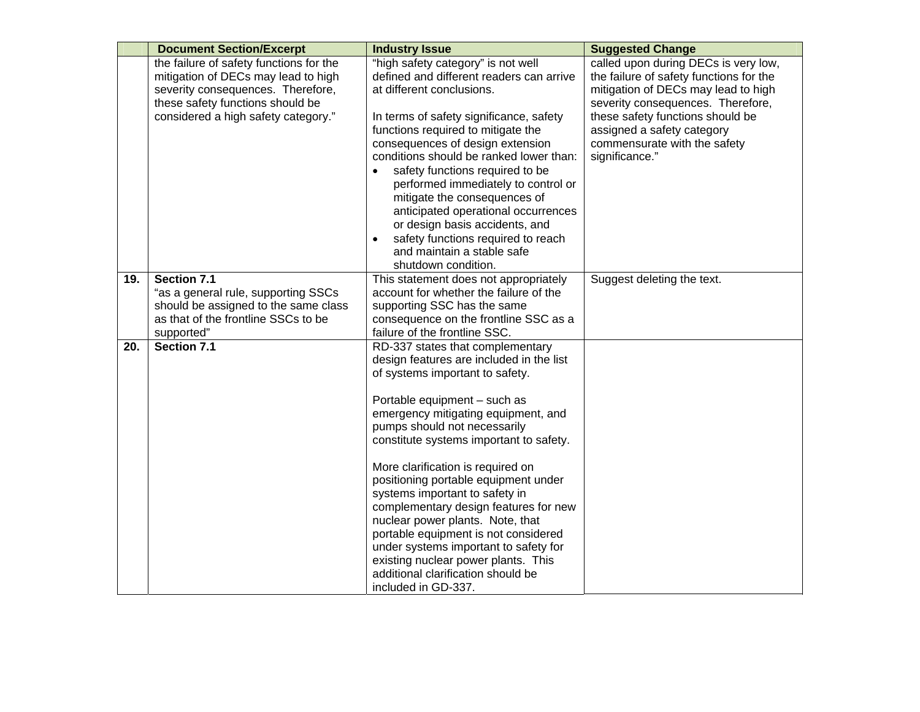|     | <b>Document Section/Excerpt</b>         | <b>Industry Issue</b>                                               | <b>Suggested Change</b>                 |
|-----|-----------------------------------------|---------------------------------------------------------------------|-----------------------------------------|
|     | the failure of safety functions for the | "high safety category" is not well                                  | called upon during DECs is very low,    |
|     | mitigation of DECs may lead to high     | defined and different readers can arrive                            | the failure of safety functions for the |
|     | severity consequences. Therefore,       | at different conclusions.                                           | mitigation of DECs may lead to high     |
|     | these safety functions should be        |                                                                     | severity consequences. Therefore,       |
|     | considered a high safety category."     | In terms of safety significance, safety                             | these safety functions should be        |
|     |                                         | functions required to mitigate the                                  | assigned a safety category              |
|     |                                         | consequences of design extension                                    | commensurate with the safety            |
|     |                                         | conditions should be ranked lower than:                             | significance."                          |
|     |                                         | safety functions required to be                                     |                                         |
|     |                                         | performed immediately to control or                                 |                                         |
|     |                                         | mitigate the consequences of                                        |                                         |
|     |                                         | anticipated operational occurrences                                 |                                         |
|     |                                         | or design basis accidents, and                                      |                                         |
|     |                                         | safety functions required to reach                                  |                                         |
|     |                                         | and maintain a stable safe                                          |                                         |
|     |                                         | shutdown condition.                                                 |                                         |
| 19. | Section 7.1                             | This statement does not appropriately                               | Suggest deleting the text.              |
|     | "as a general rule, supporting SSCs     | account for whether the failure of the                              |                                         |
|     | should be assigned to the same class    | supporting SSC has the same                                         |                                         |
|     | as that of the frontline SSCs to be     | consequence on the frontline SSC as a                               |                                         |
|     | supported"                              | failure of the frontline SSC.                                       |                                         |
| 20. | Section 7.1                             | RD-337 states that complementary                                    |                                         |
|     |                                         | design features are included in the list                            |                                         |
|     |                                         | of systems important to safety.                                     |                                         |
|     |                                         |                                                                     |                                         |
|     |                                         | Portable equipment - such as                                        |                                         |
|     |                                         | emergency mitigating equipment, and<br>pumps should not necessarily |                                         |
|     |                                         | constitute systems important to safety.                             |                                         |
|     |                                         |                                                                     |                                         |
|     |                                         | More clarification is required on                                   |                                         |
|     |                                         | positioning portable equipment under                                |                                         |
|     |                                         | systems important to safety in                                      |                                         |
|     |                                         | complementary design features for new                               |                                         |
|     |                                         | nuclear power plants. Note, that                                    |                                         |
|     |                                         | portable equipment is not considered                                |                                         |
|     |                                         | under systems important to safety for                               |                                         |
|     |                                         | existing nuclear power plants. This                                 |                                         |
|     |                                         | additional clarification should be                                  |                                         |
|     |                                         | included in GD-337.                                                 |                                         |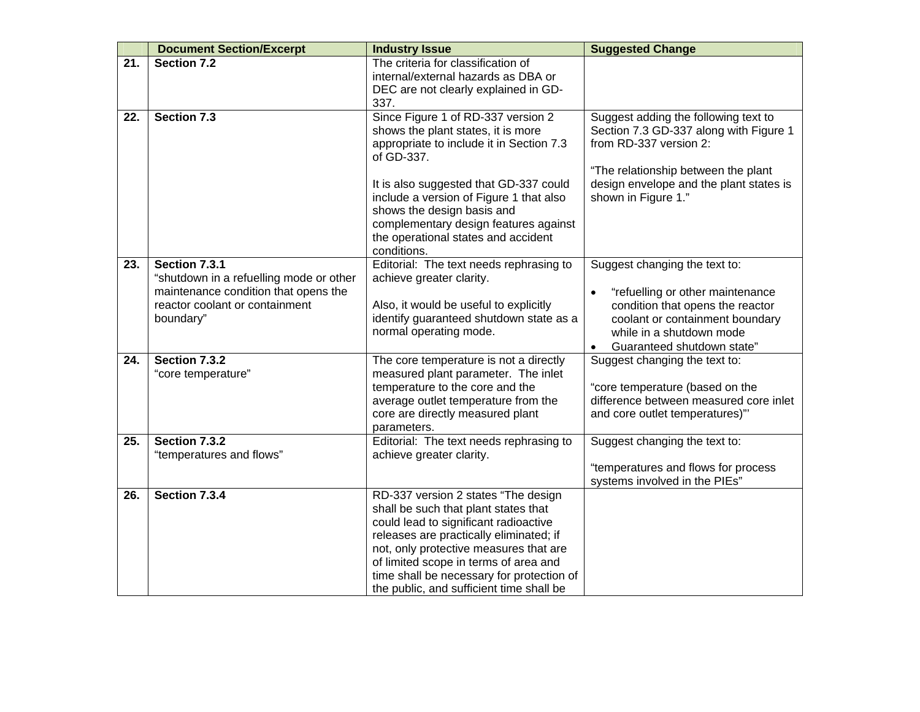|     | <b>Document Section/Excerpt</b>         | <b>Industry Issue</b>                                                           | <b>Suggested Change</b>                                                   |
|-----|-----------------------------------------|---------------------------------------------------------------------------------|---------------------------------------------------------------------------|
| 21. | Section 7.2                             | The criteria for classification of<br>internal/external hazards as DBA or       |                                                                           |
|     |                                         | DEC are not clearly explained in GD-                                            |                                                                           |
|     |                                         | 337.                                                                            |                                                                           |
| 22. | Section 7.3                             | Since Figure 1 of RD-337 version 2                                              | Suggest adding the following text to                                      |
|     |                                         | shows the plant states, it is more                                              | Section 7.3 GD-337 along with Figure 1                                    |
|     |                                         | appropriate to include it in Section 7.3                                        | from RD-337 version 2:                                                    |
|     |                                         | of GD-337.                                                                      |                                                                           |
|     |                                         |                                                                                 | "The relationship between the plant                                       |
|     |                                         | It is also suggested that GD-337 could                                          | design envelope and the plant states is                                   |
|     |                                         | include a version of Figure 1 that also                                         | shown in Figure 1."                                                       |
|     |                                         | shows the design basis and                                                      |                                                                           |
|     |                                         | complementary design features against<br>the operational states and accident    |                                                                           |
|     |                                         | conditions.                                                                     |                                                                           |
| 23. | Section 7.3.1                           | Editorial: The text needs rephrasing to                                         | Suggest changing the text to:                                             |
|     | "shutdown in a refuelling mode or other | achieve greater clarity.                                                        |                                                                           |
|     | maintenance condition that opens the    |                                                                                 | "refuelling or other maintenance                                          |
|     | reactor coolant or containment          | Also, it would be useful to explicitly                                          | condition that opens the reactor                                          |
|     | boundary"                               | identify guaranteed shutdown state as a                                         | coolant or containment boundary                                           |
|     |                                         | normal operating mode.                                                          | while in a shutdown mode                                                  |
|     |                                         |                                                                                 | Guaranteed shutdown state"<br>$\bullet$                                   |
| 24. | Section 7.3.2                           | The core temperature is not a directly                                          | Suggest changing the text to:                                             |
|     | "core temperature"                      | measured plant parameter. The inlet                                             |                                                                           |
|     |                                         | temperature to the core and the                                                 | "core temperature (based on the<br>difference between measured core inlet |
|     |                                         | average outlet temperature from the<br>core are directly measured plant         | and core outlet temperatures)"                                            |
|     |                                         | parameters.                                                                     |                                                                           |
| 25. | <b>Section 7.3.2</b>                    | Editorial: The text needs rephrasing to                                         | Suggest changing the text to:                                             |
|     | "temperatures and flows"                | achieve greater clarity.                                                        |                                                                           |
|     |                                         |                                                                                 | "temperatures and flows for process                                       |
|     |                                         |                                                                                 | systems involved in the PIEs"                                             |
| 26. | Section 7.3.4                           | RD-337 version 2 states "The design                                             |                                                                           |
|     |                                         | shall be such that plant states that                                            |                                                                           |
|     |                                         | could lead to significant radioactive                                           |                                                                           |
|     |                                         | releases are practically eliminated; if                                         |                                                                           |
|     |                                         | not, only protective measures that are<br>of limited scope in terms of area and |                                                                           |
|     |                                         | time shall be necessary for protection of                                       |                                                                           |
|     |                                         | the public, and sufficient time shall be                                        |                                                                           |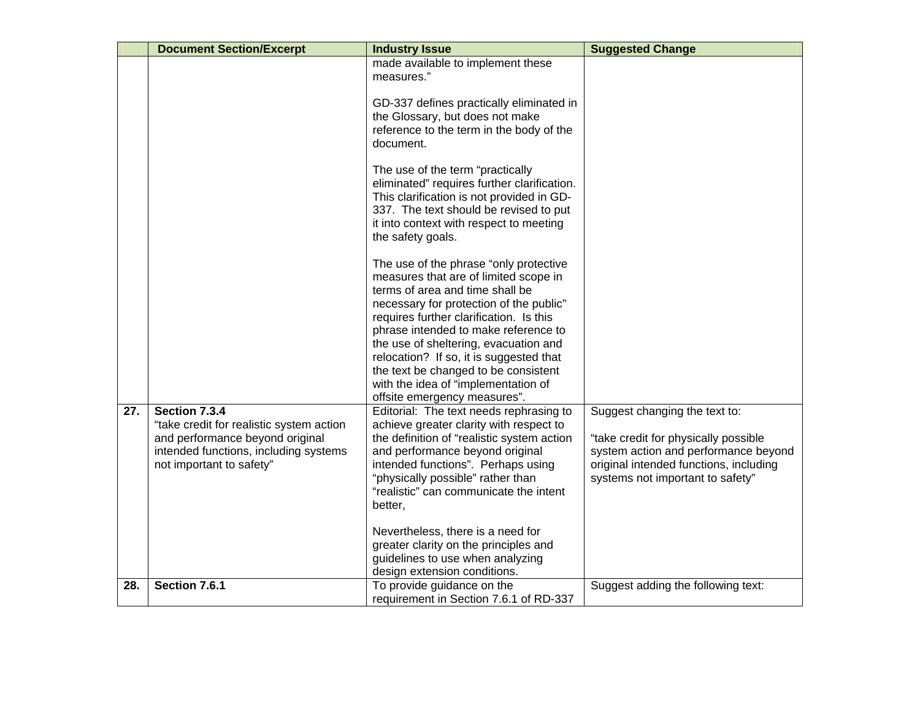|     | <b>Document Section/Excerpt</b>                                                                                                                                   | <b>Industry Issue</b>                                                                                                                                                                                                                                                                                                                                                                                                                               | <b>Suggested Change</b>                                                                                                                                                                     |
|-----|-------------------------------------------------------------------------------------------------------------------------------------------------------------------|-----------------------------------------------------------------------------------------------------------------------------------------------------------------------------------------------------------------------------------------------------------------------------------------------------------------------------------------------------------------------------------------------------------------------------------------------------|---------------------------------------------------------------------------------------------------------------------------------------------------------------------------------------------|
|     |                                                                                                                                                                   | made available to implement these<br>measures."                                                                                                                                                                                                                                                                                                                                                                                                     |                                                                                                                                                                                             |
|     |                                                                                                                                                                   | GD-337 defines practically eliminated in<br>the Glossary, but does not make<br>reference to the term in the body of the<br>document.                                                                                                                                                                                                                                                                                                                |                                                                                                                                                                                             |
|     |                                                                                                                                                                   | The use of the term "practically<br>eliminated" requires further clarification.<br>This clarification is not provided in GD-<br>337. The text should be revised to put<br>it into context with respect to meeting<br>the safety goals.                                                                                                                                                                                                              |                                                                                                                                                                                             |
|     |                                                                                                                                                                   | The use of the phrase "only protective<br>measures that are of limited scope in<br>terms of area and time shall be<br>necessary for protection of the public"<br>requires further clarification. Is this<br>phrase intended to make reference to<br>the use of sheltering, evacuation and<br>relocation? If so, it is suggested that<br>the text be changed to be consistent<br>with the idea of "implementation of<br>offsite emergency measures". |                                                                                                                                                                                             |
| 27. | Section 7.3.4<br>"take credit for realistic system action<br>and performance beyond original<br>intended functions, including systems<br>not important to safety" | Editorial: The text needs rephrasing to<br>achieve greater clarity with respect to<br>the definition of "realistic system action<br>and performance beyond original<br>intended functions". Perhaps using<br>"physically possible" rather than<br>"realistic" can communicate the intent<br>better,                                                                                                                                                 | Suggest changing the text to:<br>"take credit for physically possible<br>system action and performance beyond<br>original intended functions, including<br>systems not important to safety" |
|     |                                                                                                                                                                   | Nevertheless, there is a need for<br>greater clarity on the principles and<br>guidelines to use when analyzing<br>design extension conditions.                                                                                                                                                                                                                                                                                                      |                                                                                                                                                                                             |
| 28. | Section 7.6.1                                                                                                                                                     | To provide guidance on the<br>requirement in Section 7.6.1 of RD-337                                                                                                                                                                                                                                                                                                                                                                                | Suggest adding the following text:                                                                                                                                                          |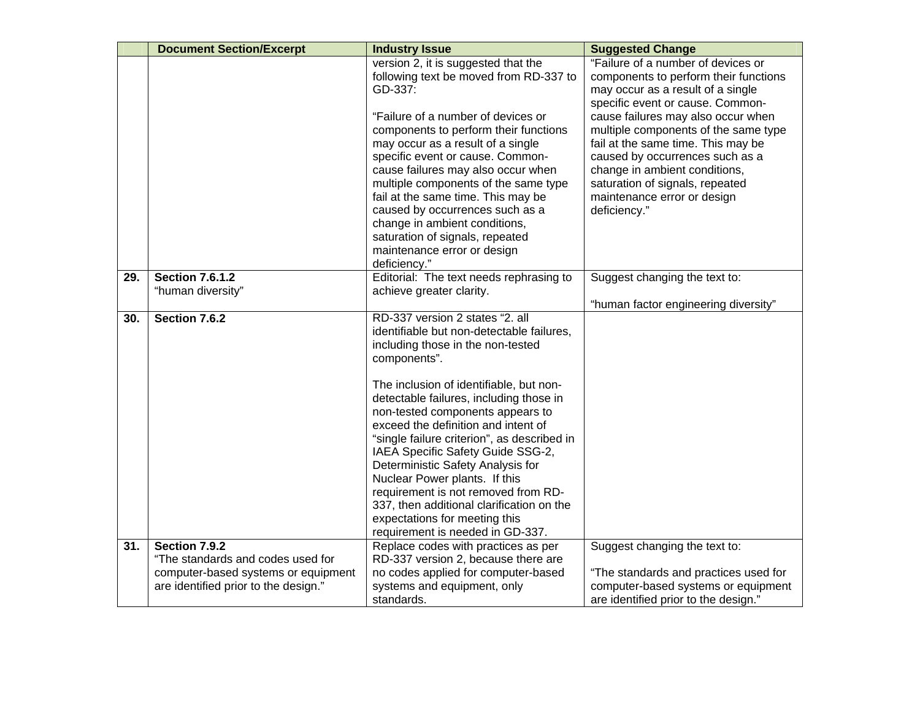|     | <b>Document Section/Excerpt</b>                                                                                                   | <b>Industry Issue</b>                                                                                                                                                                                                                                                                                                                                                                                                                                                                                                                                                                                                 | <b>Suggested Change</b>                                                                                                                                                                                                                                                                                                                                                                                                        |
|-----|-----------------------------------------------------------------------------------------------------------------------------------|-----------------------------------------------------------------------------------------------------------------------------------------------------------------------------------------------------------------------------------------------------------------------------------------------------------------------------------------------------------------------------------------------------------------------------------------------------------------------------------------------------------------------------------------------------------------------------------------------------------------------|--------------------------------------------------------------------------------------------------------------------------------------------------------------------------------------------------------------------------------------------------------------------------------------------------------------------------------------------------------------------------------------------------------------------------------|
|     |                                                                                                                                   | version 2, it is suggested that the<br>following text be moved from RD-337 to<br>GD-337:<br>"Failure of a number of devices or<br>components to perform their functions<br>may occur as a result of a single<br>specific event or cause. Common-<br>cause failures may also occur when<br>multiple components of the same type<br>fail at the same time. This may be<br>caused by occurrences such as a<br>change in ambient conditions,<br>saturation of signals, repeated<br>maintenance error or design<br>deficiency."                                                                                            | "Failure of a number of devices or<br>components to perform their functions<br>may occur as a result of a single<br>specific event or cause. Common-<br>cause failures may also occur when<br>multiple components of the same type<br>fail at the same time. This may be<br>caused by occurrences such as a<br>change in ambient conditions,<br>saturation of signals, repeated<br>maintenance error or design<br>deficiency." |
| 29. | <b>Section 7.6.1.2</b>                                                                                                            | Editorial: The text needs rephrasing to                                                                                                                                                                                                                                                                                                                                                                                                                                                                                                                                                                               | Suggest changing the text to:                                                                                                                                                                                                                                                                                                                                                                                                  |
|     | "human diversity"                                                                                                                 | achieve greater clarity.                                                                                                                                                                                                                                                                                                                                                                                                                                                                                                                                                                                              | "human factor engineering diversity"                                                                                                                                                                                                                                                                                                                                                                                           |
| 30. | Section 7.6.2                                                                                                                     | RD-337 version 2 states "2. all<br>identifiable but non-detectable failures,<br>including those in the non-tested<br>components".<br>The inclusion of identifiable, but non-<br>detectable failures, including those in<br>non-tested components appears to<br>exceed the definition and intent of<br>"single failure criterion", as described in<br>IAEA Specific Safety Guide SSG-2,<br>Deterministic Safety Analysis for<br>Nuclear Power plants. If this<br>requirement is not removed from RD-<br>337, then additional clarification on the<br>expectations for meeting this<br>requirement is needed in GD-337. |                                                                                                                                                                                                                                                                                                                                                                                                                                |
| 31. | Section 7.9.2<br>"The standards and codes used for<br>computer-based systems or equipment<br>are identified prior to the design." | Replace codes with practices as per<br>RD-337 version 2, because there are<br>no codes applied for computer-based<br>systems and equipment, only                                                                                                                                                                                                                                                                                                                                                                                                                                                                      | Suggest changing the text to:<br>"The standards and practices used for<br>computer-based systems or equipment                                                                                                                                                                                                                                                                                                                  |
|     |                                                                                                                                   | standards.                                                                                                                                                                                                                                                                                                                                                                                                                                                                                                                                                                                                            | are identified prior to the design."                                                                                                                                                                                                                                                                                                                                                                                           |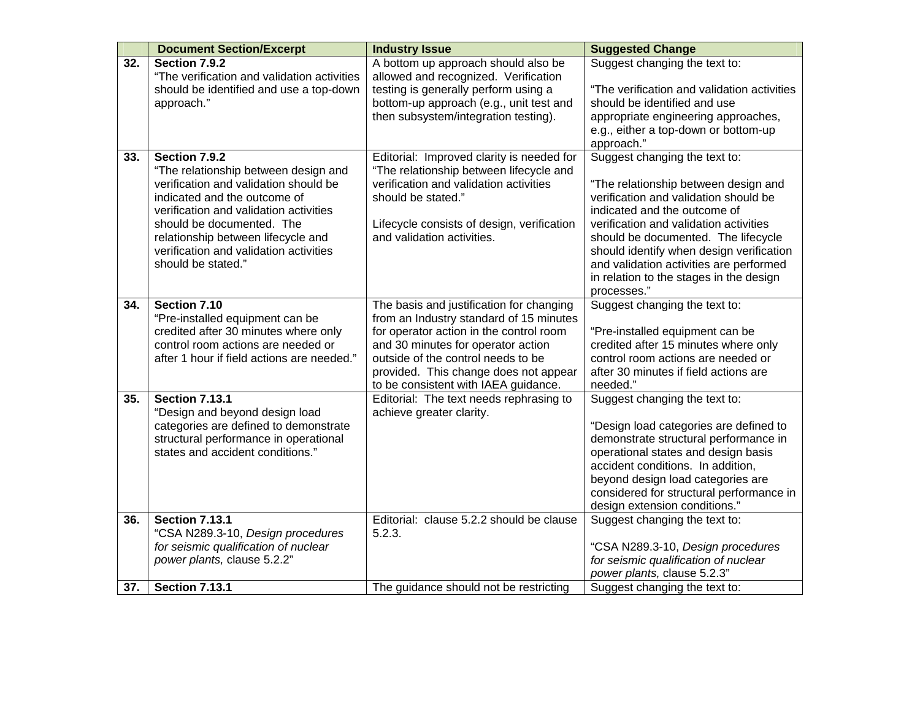|     | <b>Document Section/Excerpt</b>                                                                                                                                                                                                                                                                             | <b>Industry Issue</b>                                                                                                                                                                                                                                                                       | <b>Suggested Change</b>                                                                                                                                                                                                                                                                                                                                                          |
|-----|-------------------------------------------------------------------------------------------------------------------------------------------------------------------------------------------------------------------------------------------------------------------------------------------------------------|---------------------------------------------------------------------------------------------------------------------------------------------------------------------------------------------------------------------------------------------------------------------------------------------|----------------------------------------------------------------------------------------------------------------------------------------------------------------------------------------------------------------------------------------------------------------------------------------------------------------------------------------------------------------------------------|
| 32. | Section 7.9.2<br>"The verification and validation activities<br>should be identified and use a top-down<br>approach."                                                                                                                                                                                       | A bottom up approach should also be<br>allowed and recognized. Verification<br>testing is generally perform using a<br>bottom-up approach (e.g., unit test and<br>then subsystem/integration testing).                                                                                      | Suggest changing the text to:<br>"The verification and validation activities<br>should be identified and use<br>appropriate engineering approaches,<br>e.g., either a top-down or bottom-up<br>approach."                                                                                                                                                                        |
| 33. | Section 7.9.2<br>"The relationship between design and<br>verification and validation should be<br>indicated and the outcome of<br>verification and validation activities<br>should be documented. The<br>relationship between lifecycle and<br>verification and validation activities<br>should be stated." | Editorial: Improved clarity is needed for<br>"The relationship between lifecycle and<br>verification and validation activities<br>should be stated."<br>Lifecycle consists of design, verification<br>and validation activities.                                                            | Suggest changing the text to:<br>"The relationship between design and<br>verification and validation should be<br>indicated and the outcome of<br>verification and validation activities<br>should be documented. The lifecycle<br>should identify when design verification<br>and validation activities are performed<br>in relation to the stages in the design<br>processes." |
| 34. | Section 7.10<br>"Pre-installed equipment can be<br>credited after 30 minutes where only<br>control room actions are needed or<br>after 1 hour if field actions are needed."                                                                                                                                 | The basis and justification for changing<br>from an Industry standard of 15 minutes<br>for operator action in the control room<br>and 30 minutes for operator action<br>outside of the control needs to be<br>provided. This change does not appear<br>to be consistent with IAEA guidance. | Suggest changing the text to:<br>"Pre-installed equipment can be<br>credited after 15 minutes where only<br>control room actions are needed or<br>after 30 minutes if field actions are<br>needed."                                                                                                                                                                              |
| 35. | <b>Section 7.13.1</b><br>"Design and beyond design load<br>categories are defined to demonstrate<br>structural performance in operational<br>states and accident conditions."                                                                                                                               | Editorial: The text needs rephrasing to<br>achieve greater clarity.                                                                                                                                                                                                                         | Suggest changing the text to:<br>"Design load categories are defined to<br>demonstrate structural performance in<br>operational states and design basis<br>accident conditions. In addition,<br>beyond design load categories are<br>considered for structural performance in<br>design extension conditions."                                                                   |
| 36. | <b>Section 7.13.1</b><br>"CSA N289.3-10, Design procedures<br>for seismic qualification of nuclear<br>power plants, clause 5.2.2"                                                                                                                                                                           | Editorial: clause 5.2.2 should be clause<br>5.2.3.                                                                                                                                                                                                                                          | Suggest changing the text to:<br>"CSA N289.3-10, Design procedures<br>for seismic qualification of nuclear<br>power plants, clause 5.2.3"                                                                                                                                                                                                                                        |
| 37. | <b>Section 7.13.1</b>                                                                                                                                                                                                                                                                                       | The guidance should not be restricting                                                                                                                                                                                                                                                      | Suggest changing the text to:                                                                                                                                                                                                                                                                                                                                                    |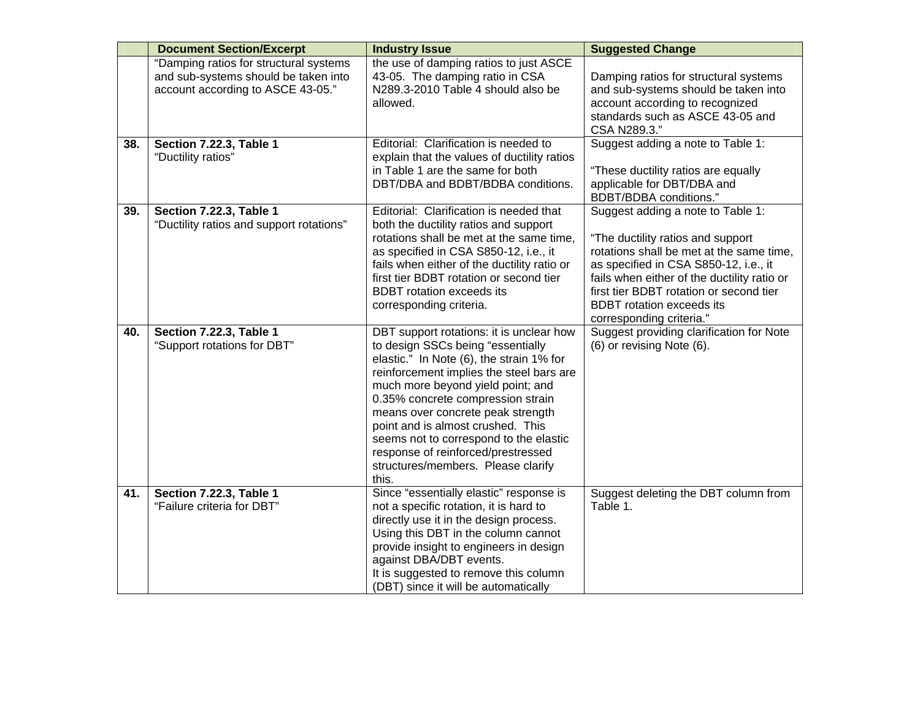|     | <b>Document Section/Excerpt</b>                                                                                     | <b>Industry Issue</b>                                                                                                                                                                                                                                                                                                                                                                                                                                    | <b>Suggested Change</b>                                                                                                                                                                                                                                                                                               |
|-----|---------------------------------------------------------------------------------------------------------------------|----------------------------------------------------------------------------------------------------------------------------------------------------------------------------------------------------------------------------------------------------------------------------------------------------------------------------------------------------------------------------------------------------------------------------------------------------------|-----------------------------------------------------------------------------------------------------------------------------------------------------------------------------------------------------------------------------------------------------------------------------------------------------------------------|
|     | "Damping ratios for structural systems<br>and sub-systems should be taken into<br>account according to ASCE 43-05." | the use of damping ratios to just ASCE<br>43-05. The damping ratio in CSA<br>N289.3-2010 Table 4 should also be<br>allowed.                                                                                                                                                                                                                                                                                                                              | Damping ratios for structural systems<br>and sub-systems should be taken into<br>account according to recognized<br>standards such as ASCE 43-05 and<br>CSA N289.3."                                                                                                                                                  |
| 38. | Section 7.22.3, Table 1<br>"Ductility ratios"                                                                       | Editorial: Clarification is needed to<br>explain that the values of ductility ratios<br>in Table 1 are the same for both<br>DBT/DBA and BDBT/BDBA conditions.                                                                                                                                                                                                                                                                                            | Suggest adding a note to Table 1:<br>"These ductility ratios are equally<br>applicable for DBT/DBA and<br>BDBT/BDBA conditions."                                                                                                                                                                                      |
| 39. | <b>Section 7.22.3, Table 1</b><br>"Ductility ratios and support rotations"                                          | Editorial: Clarification is needed that<br>both the ductility ratios and support<br>rotations shall be met at the same time,<br>as specified in CSA S850-12, i.e., it<br>fails when either of the ductility ratio or<br>first tier BDBT rotation or second tier<br><b>BDBT</b> rotation exceeds its<br>corresponding criteria.                                                                                                                           | Suggest adding a note to Table 1:<br>"The ductility ratios and support<br>rotations shall be met at the same time,<br>as specified in CSA S850-12, i.e., it<br>fails when either of the ductility ratio or<br>first tier BDBT rotation or second tier<br><b>BDBT</b> rotation exceeds its<br>corresponding criteria." |
| 40. | Section 7.22.3, Table 1<br>"Support rotations for DBT"                                                              | DBT support rotations: it is unclear how<br>to design SSCs being "essentially<br>elastic." In Note (6), the strain 1% for<br>reinforcement implies the steel bars are<br>much more beyond yield point; and<br>0.35% concrete compression strain<br>means over concrete peak strength<br>point and is almost crushed. This<br>seems not to correspond to the elastic<br>response of reinforced/prestressed<br>structures/members. Please clarify<br>this. | Suggest providing clarification for Note<br>(6) or revising Note (6).                                                                                                                                                                                                                                                 |
| 41. | <b>Section 7.22.3, Table 1</b><br>"Failure criteria for DBT"                                                        | Since "essentially elastic" response is<br>not a specific rotation, it is hard to<br>directly use it in the design process.<br>Using this DBT in the column cannot<br>provide insight to engineers in design<br>against DBA/DBT events.<br>It is suggested to remove this column<br>(DBT) since it will be automatically                                                                                                                                 | Suggest deleting the DBT column from<br>Table 1.                                                                                                                                                                                                                                                                      |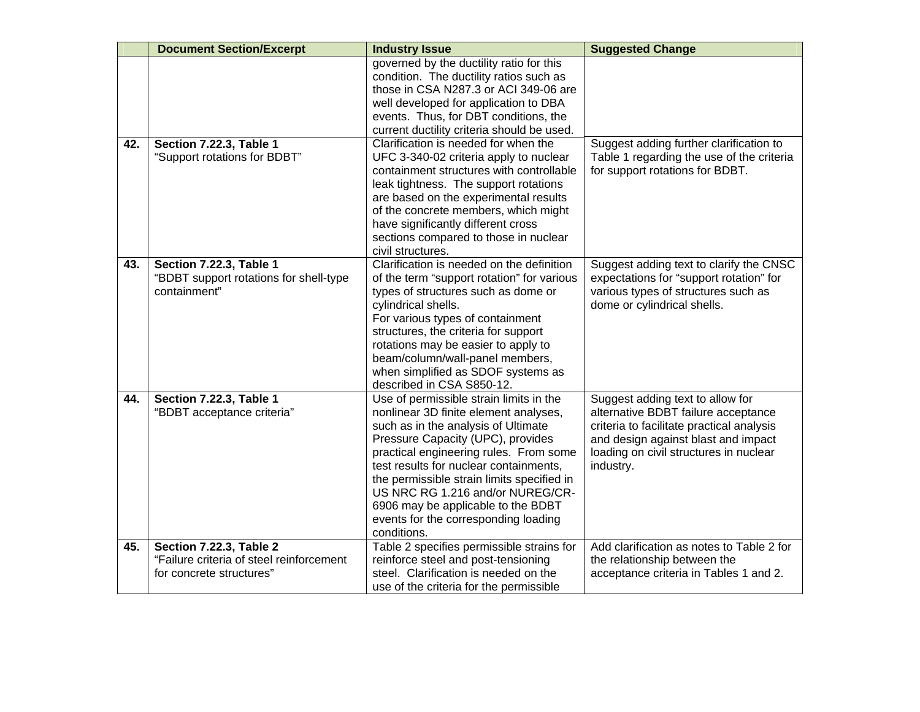|     | <b>Document Section/Excerpt</b>                                                                        | <b>Industry Issue</b>                                                                                                                                                                                                                                                                                                                                                                                                           | <b>Suggested Change</b>                                                                                                                                                                                            |
|-----|--------------------------------------------------------------------------------------------------------|---------------------------------------------------------------------------------------------------------------------------------------------------------------------------------------------------------------------------------------------------------------------------------------------------------------------------------------------------------------------------------------------------------------------------------|--------------------------------------------------------------------------------------------------------------------------------------------------------------------------------------------------------------------|
|     |                                                                                                        | governed by the ductility ratio for this<br>condition. The ductility ratios such as<br>those in CSA N287.3 or ACI 349-06 are<br>well developed for application to DBA<br>events. Thus, for DBT conditions, the<br>current ductility criteria should be used.                                                                                                                                                                    |                                                                                                                                                                                                                    |
| 42. | Section 7.22.3, Table 1<br>"Support rotations for BDBT"                                                | Clarification is needed for when the<br>UFC 3-340-02 criteria apply to nuclear<br>containment structures with controllable<br>leak tightness. The support rotations<br>are based on the experimental results<br>of the concrete members, which might<br>have significantly different cross<br>sections compared to those in nuclear<br>civil structures.                                                                        | Suggest adding further clarification to<br>Table 1 regarding the use of the criteria<br>for support rotations for BDBT.                                                                                            |
| 43. | Section 7.22.3, Table 1<br>"BDBT support rotations for shell-type<br>containment"                      | Clarification is needed on the definition<br>of the term "support rotation" for various<br>types of structures such as dome or<br>cylindrical shells.<br>For various types of containment<br>structures, the criteria for support<br>rotations may be easier to apply to<br>beam/column/wall-panel members,<br>when simplified as SDOF systems as<br>described in CSA S850-12.                                                  | Suggest adding text to clarify the CNSC<br>expectations for "support rotation" for<br>various types of structures such as<br>dome or cylindrical shells.                                                           |
| 44. | Section 7.22.3, Table 1<br>"BDBT acceptance criteria"                                                  | Use of permissible strain limits in the<br>nonlinear 3D finite element analyses,<br>such as in the analysis of Ultimate<br>Pressure Capacity (UPC), provides<br>practical engineering rules. From some<br>test results for nuclear containments,<br>the permissible strain limits specified in<br>US NRC RG 1.216 and/or NUREG/CR-<br>6906 may be applicable to the BDBT<br>events for the corresponding loading<br>conditions. | Suggest adding text to allow for<br>alternative BDBT failure acceptance<br>criteria to facilitate practical analysis<br>and design against blast and impact<br>loading on civil structures in nuclear<br>industry. |
| 45. | <b>Section 7.22.3, Table 2</b><br>"Failure criteria of steel reinforcement<br>for concrete structures" | Table 2 specifies permissible strains for<br>reinforce steel and post-tensioning<br>steel. Clarification is needed on the<br>use of the criteria for the permissible                                                                                                                                                                                                                                                            | Add clarification as notes to Table 2 for<br>the relationship between the<br>acceptance criteria in Tables 1 and 2.                                                                                                |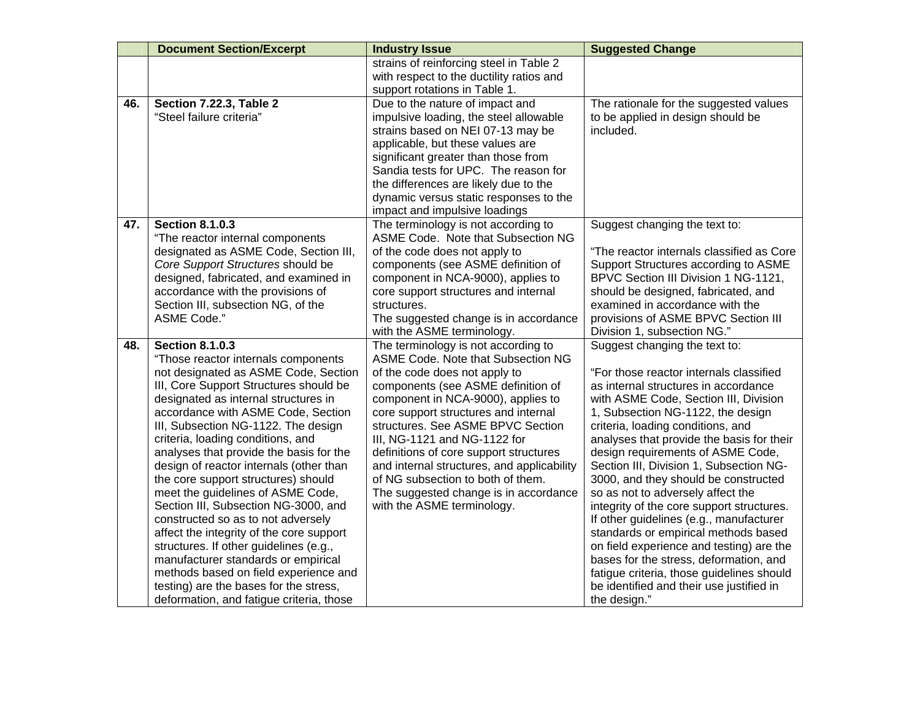|     | <b>Document Section/Excerpt</b>          | <b>Industry Issue</b>                      | <b>Suggested Change</b>                   |
|-----|------------------------------------------|--------------------------------------------|-------------------------------------------|
|     |                                          | strains of reinforcing steel in Table 2    |                                           |
|     |                                          | with respect to the ductility ratios and   |                                           |
|     |                                          | support rotations in Table 1.              |                                           |
| 46. | Section 7.22.3, Table 2                  | Due to the nature of impact and            | The rationale for the suggested values    |
|     | "Steel failure criteria"                 | impulsive loading, the steel allowable     | to be applied in design should be         |
|     |                                          | strains based on NEI 07-13 may be          | included.                                 |
|     |                                          | applicable, but these values are           |                                           |
|     |                                          | significant greater than those from        |                                           |
|     |                                          | Sandia tests for UPC. The reason for       |                                           |
|     |                                          | the differences are likely due to the      |                                           |
|     |                                          | dynamic versus static responses to the     |                                           |
|     |                                          | impact and impulsive loadings              |                                           |
| 47. | <b>Section 8.1.0.3</b>                   | The terminology is not according to        | Suggest changing the text to:             |
|     | "The reactor internal components         | ASME Code. Note that Subsection NG         |                                           |
|     | designated as ASME Code, Section III,    | of the code does not apply to              | "The reactor internals classified as Core |
|     | Core Support Structures should be        | components (see ASME definition of         | Support Structures according to ASME      |
|     | designed, fabricated, and examined in    | component in NCA-9000), applies to         | BPVC Section III Division 1 NG-1121,      |
|     | accordance with the provisions of        | core support structures and internal       | should be designed, fabricated, and       |
|     | Section III, subsection NG, of the       | structures.                                | examined in accordance with the           |
|     | ASME Code."                              | The suggested change is in accordance      | provisions of ASME BPVC Section III       |
|     |                                          | with the ASME terminology.                 | Division 1, subsection NG."               |
| 48. | <b>Section 8.1.0.3</b>                   | The terminology is not according to        | Suggest changing the text to:             |
|     | "Those reactor internals components      | ASME Code. Note that Subsection NG         |                                           |
|     | not designated as ASME Code, Section     | of the code does not apply to              | "For those reactor internals classified   |
|     | III, Core Support Structures should be   | components (see ASME definition of         | as internal structures in accordance      |
|     | designated as internal structures in     | component in NCA-9000), applies to         | with ASME Code, Section III, Division     |
|     | accordance with ASME Code, Section       | core support structures and internal       | 1, Subsection NG-1122, the design         |
|     | III, Subsection NG-1122. The design      | structures. See ASME BPVC Section          | criteria, loading conditions, and         |
|     | criteria, loading conditions, and        | III, NG-1121 and NG-1122 for               | analyses that provide the basis for their |
|     | analyses that provide the basis for the  | definitions of core support structures     | design requirements of ASME Code,         |
|     | design of reactor internals (other than  | and internal structures, and applicability | Section III, Division 1, Subsection NG-   |
|     | the core support structures) should      | of NG subsection to both of them.          | 3000, and they should be constructed      |
|     | meet the guidelines of ASME Code,        | The suggested change is in accordance      | so as not to adversely affect the         |
|     | Section III, Subsection NG-3000, and     | with the ASME terminology.                 | integrity of the core support structures. |
|     | constructed so as to not adversely       |                                            | If other guidelines (e.g., manufacturer   |
|     | affect the integrity of the core support |                                            | standards or empirical methods based      |
|     | structures. If other guidelines (e.g.,   |                                            | on field experience and testing) are the  |
|     | manufacturer standards or empirical      |                                            | bases for the stress, deformation, and    |
|     | methods based on field experience and    |                                            | fatigue criteria, those guidelines should |
|     | testing) are the bases for the stress,   |                                            | be identified and their use justified in  |
|     | deformation, and fatigue criteria, those |                                            | the design."                              |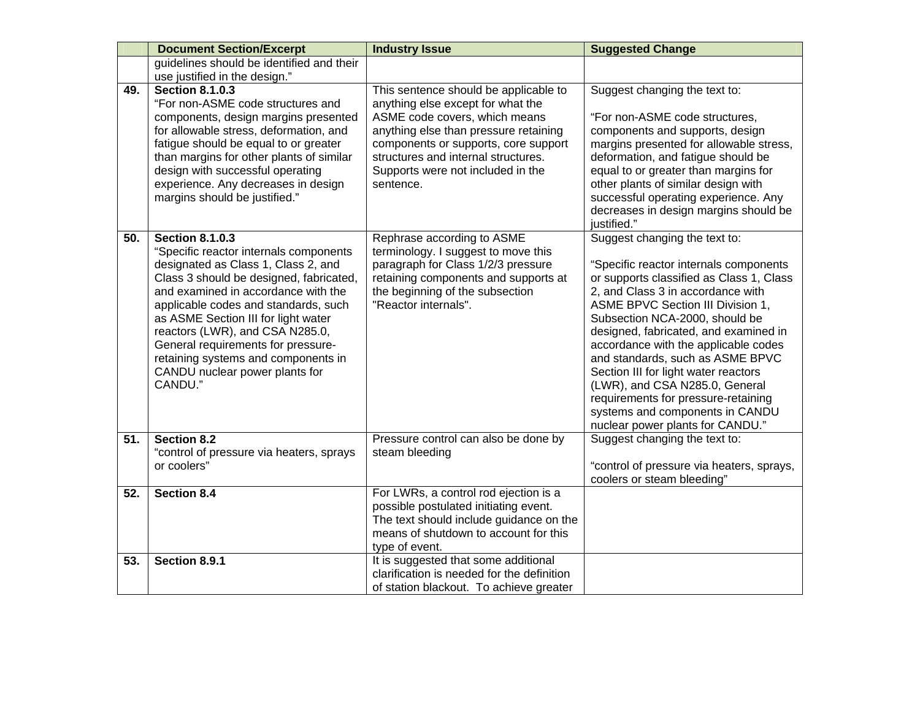|     | <b>Document Section/Excerpt</b>                                                                                                                                                                                                                                                                                                                                                                                                       | <b>Industry Issue</b>                                                                                                                                                                                                                                                                 | <b>Suggested Change</b>                                                                                                                                                                                                                                                                                                                                                                                                                                                                                                                             |
|-----|---------------------------------------------------------------------------------------------------------------------------------------------------------------------------------------------------------------------------------------------------------------------------------------------------------------------------------------------------------------------------------------------------------------------------------------|---------------------------------------------------------------------------------------------------------------------------------------------------------------------------------------------------------------------------------------------------------------------------------------|-----------------------------------------------------------------------------------------------------------------------------------------------------------------------------------------------------------------------------------------------------------------------------------------------------------------------------------------------------------------------------------------------------------------------------------------------------------------------------------------------------------------------------------------------------|
|     | guidelines should be identified and their<br>use justified in the design."                                                                                                                                                                                                                                                                                                                                                            |                                                                                                                                                                                                                                                                                       |                                                                                                                                                                                                                                                                                                                                                                                                                                                                                                                                                     |
| 49. | <b>Section 8.1.0.3</b><br>"For non-ASME code structures and<br>components, design margins presented<br>for allowable stress, deformation, and<br>fatigue should be equal to or greater<br>than margins for other plants of similar<br>design with successful operating<br>experience. Any decreases in design<br>margins should be justified."                                                                                        | This sentence should be applicable to<br>anything else except for what the<br>ASME code covers, which means<br>anything else than pressure retaining<br>components or supports, core support<br>structures and internal structures.<br>Supports were not included in the<br>sentence. | Suggest changing the text to:<br>"For non-ASME code structures,<br>components and supports, design<br>margins presented for allowable stress,<br>deformation, and fatigue should be<br>equal to or greater than margins for<br>other plants of similar design with<br>successful operating experience. Any<br>decreases in design margins should be<br>justified."                                                                                                                                                                                  |
| 50. | <b>Section 8.1.0.3</b><br>"Specific reactor internals components<br>designated as Class 1, Class 2, and<br>Class 3 should be designed, fabricated,<br>and examined in accordance with the<br>applicable codes and standards, such<br>as ASME Section III for light water<br>reactors (LWR), and CSA N285.0,<br>General requirements for pressure-<br>retaining systems and components in<br>CANDU nuclear power plants for<br>CANDU." | Rephrase according to ASME<br>terminology. I suggest to move this<br>paragraph for Class 1/2/3 pressure<br>retaining components and supports at<br>the beginning of the subsection<br>"Reactor internals".                                                                            | Suggest changing the text to:<br>"Specific reactor internals components<br>or supports classified as Class 1, Class<br>2, and Class 3 in accordance with<br><b>ASME BPVC Section III Division 1.</b><br>Subsection NCA-2000, should be<br>designed, fabricated, and examined in<br>accordance with the applicable codes<br>and standards, such as ASME BPVC<br>Section III for light water reactors<br>(LWR), and CSA N285.0, General<br>requirements for pressure-retaining<br>systems and components in CANDU<br>nuclear power plants for CANDU." |
| 51. | <b>Section 8.2</b><br>"control of pressure via heaters, sprays<br>or coolers"                                                                                                                                                                                                                                                                                                                                                         | Pressure control can also be done by<br>steam bleeding                                                                                                                                                                                                                                | Suggest changing the text to:<br>"control of pressure via heaters, sprays,<br>coolers or steam bleeding"                                                                                                                                                                                                                                                                                                                                                                                                                                            |
| 52. | <b>Section 8.4</b>                                                                                                                                                                                                                                                                                                                                                                                                                    | For LWRs, a control rod ejection is a<br>possible postulated initiating event.<br>The text should include guidance on the<br>means of shutdown to account for this<br>type of event.                                                                                                  |                                                                                                                                                                                                                                                                                                                                                                                                                                                                                                                                                     |
| 53. | Section 8.9.1                                                                                                                                                                                                                                                                                                                                                                                                                         | It is suggested that some additional<br>clarification is needed for the definition<br>of station blackout. To achieve greater                                                                                                                                                         |                                                                                                                                                                                                                                                                                                                                                                                                                                                                                                                                                     |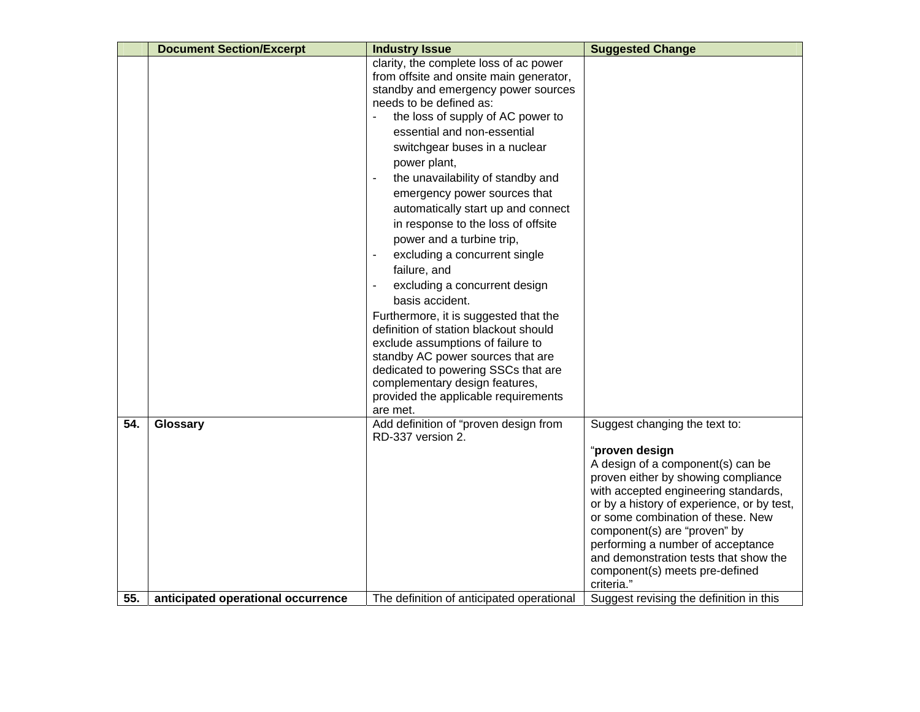|     | <b>Document Section/Excerpt</b>    | <b>Industry Issue</b>                                                                                                                                                                                                                                                                                                                                                                                                                                                                                                                                                                                                                                                                                                                                                                                                                                | <b>Suggested Change</b>                                                                                                                                                                                                                                                                                                                                                                                              |
|-----|------------------------------------|------------------------------------------------------------------------------------------------------------------------------------------------------------------------------------------------------------------------------------------------------------------------------------------------------------------------------------------------------------------------------------------------------------------------------------------------------------------------------------------------------------------------------------------------------------------------------------------------------------------------------------------------------------------------------------------------------------------------------------------------------------------------------------------------------------------------------------------------------|----------------------------------------------------------------------------------------------------------------------------------------------------------------------------------------------------------------------------------------------------------------------------------------------------------------------------------------------------------------------------------------------------------------------|
|     |                                    | clarity, the complete loss of ac power<br>from offsite and onsite main generator,<br>standby and emergency power sources<br>needs to be defined as:<br>the loss of supply of AC power to<br>essential and non-essential<br>switchgear buses in a nuclear<br>power plant,<br>the unavailability of standby and<br>emergency power sources that<br>automatically start up and connect<br>in response to the loss of offsite<br>power and a turbine trip,<br>excluding a concurrent single<br>failure, and<br>excluding a concurrent design<br>basis accident.<br>Furthermore, it is suggested that the<br>definition of station blackout should<br>exclude assumptions of failure to<br>standby AC power sources that are<br>dedicated to powering SSCs that are<br>complementary design features,<br>provided the applicable requirements<br>are met. |                                                                                                                                                                                                                                                                                                                                                                                                                      |
| 54. | Glossary                           | Add definition of "proven design from<br>RD-337 version 2.                                                                                                                                                                                                                                                                                                                                                                                                                                                                                                                                                                                                                                                                                                                                                                                           | Suggest changing the text to:<br>"proven design<br>A design of a component(s) can be<br>proven either by showing compliance<br>with accepted engineering standards,<br>or by a history of experience, or by test,<br>or some combination of these. New<br>component(s) are "proven" by<br>performing a number of acceptance<br>and demonstration tests that show the<br>component(s) meets pre-defined<br>criteria." |
| 55. | anticipated operational occurrence | The definition of anticipated operational                                                                                                                                                                                                                                                                                                                                                                                                                                                                                                                                                                                                                                                                                                                                                                                                            | Suggest revising the definition in this                                                                                                                                                                                                                                                                                                                                                                              |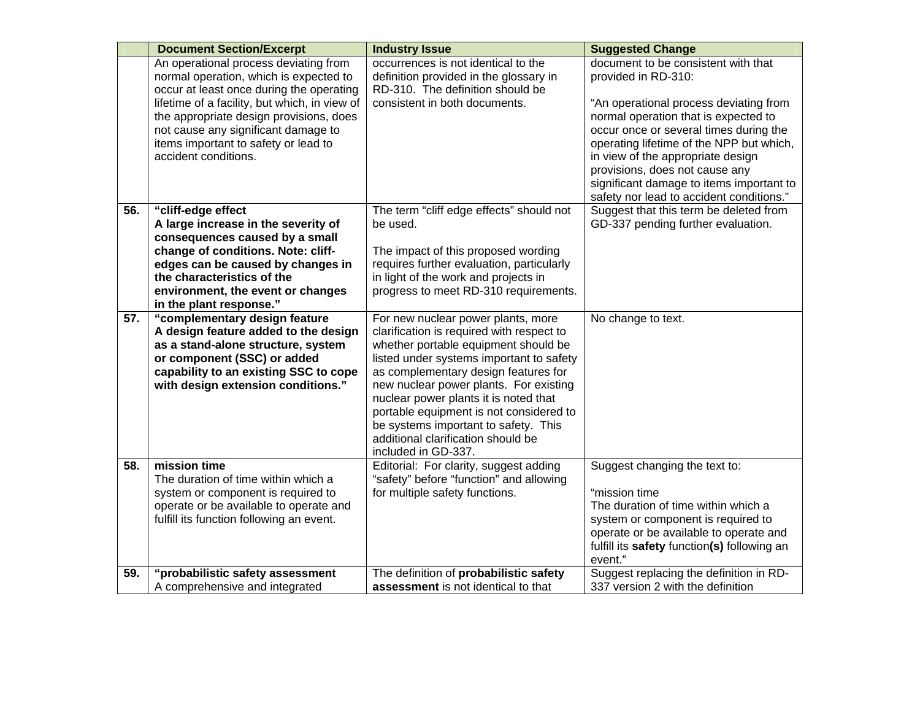|     | <b>Document Section/Excerpt</b>                                                                                                                                                                                                                                      | <b>Industry Issue</b>                                                                                                                                                                                                                                                                                                                                                                                                                          | <b>Suggested Change</b>                                                                                                                                                                                                         |
|-----|----------------------------------------------------------------------------------------------------------------------------------------------------------------------------------------------------------------------------------------------------------------------|------------------------------------------------------------------------------------------------------------------------------------------------------------------------------------------------------------------------------------------------------------------------------------------------------------------------------------------------------------------------------------------------------------------------------------------------|---------------------------------------------------------------------------------------------------------------------------------------------------------------------------------------------------------------------------------|
|     | An operational process deviating from<br>normal operation, which is expected to                                                                                                                                                                                      | occurrences is not identical to the<br>definition provided in the glossary in                                                                                                                                                                                                                                                                                                                                                                  | document to be consistent with that<br>provided in RD-310:                                                                                                                                                                      |
|     | occur at least once during the operating<br>lifetime of a facility, but which, in view of<br>the appropriate design provisions, does<br>not cause any significant damage to                                                                                          | RD-310. The definition should be<br>consistent in both documents.                                                                                                                                                                                                                                                                                                                                                                              | "An operational process deviating from<br>normal operation that is expected to<br>occur once or several times during the                                                                                                        |
|     | items important to safety or lead to<br>accident conditions.                                                                                                                                                                                                         |                                                                                                                                                                                                                                                                                                                                                                                                                                                | operating lifetime of the NPP but which,<br>in view of the appropriate design<br>provisions, does not cause any<br>significant damage to items important to<br>safety nor lead to accident conditions."                         |
| 56. | "cliff-edge effect<br>A large increase in the severity of<br>consequences caused by a small<br>change of conditions. Note: cliff-<br>edges can be caused by changes in<br>the characteristics of the<br>environment, the event or changes<br>in the plant response." | The term "cliff edge effects" should not<br>be used.<br>The impact of this proposed wording<br>requires further evaluation, particularly<br>in light of the work and projects in<br>progress to meet RD-310 requirements.                                                                                                                                                                                                                      | Suggest that this term be deleted from<br>GD-337 pending further evaluation.                                                                                                                                                    |
| 57. | "complementary design feature<br>A design feature added to the design<br>as a stand-alone structure, system<br>or component (SSC) or added<br>capability to an existing SSC to cope<br>with design extension conditions."                                            | For new nuclear power plants, more<br>clarification is required with respect to<br>whether portable equipment should be<br>listed under systems important to safety<br>as complementary design features for<br>new nuclear power plants. For existing<br>nuclear power plants it is noted that<br>portable equipment is not considered to<br>be systems important to safety. This<br>additional clarification should be<br>included in GD-337. | No change to text.                                                                                                                                                                                                              |
| 58. | mission time<br>The duration of time within which a<br>system or component is required to<br>operate or be available to operate and<br>fulfill its function following an event.                                                                                      | Editorial: For clarity, suggest adding<br>"safety" before "function" and allowing<br>for multiple safety functions.                                                                                                                                                                                                                                                                                                                            | Suggest changing the text to:<br>"mission time<br>The duration of time within which a<br>system or component is required to<br>operate or be available to operate and<br>fulfill its safety function(s) following an<br>event." |
| 59. | "probabilistic safety assessment<br>A comprehensive and integrated                                                                                                                                                                                                   | The definition of probabilistic safety<br>assessment is not identical to that                                                                                                                                                                                                                                                                                                                                                                  | Suggest replacing the definition in RD-<br>337 version 2 with the definition                                                                                                                                                    |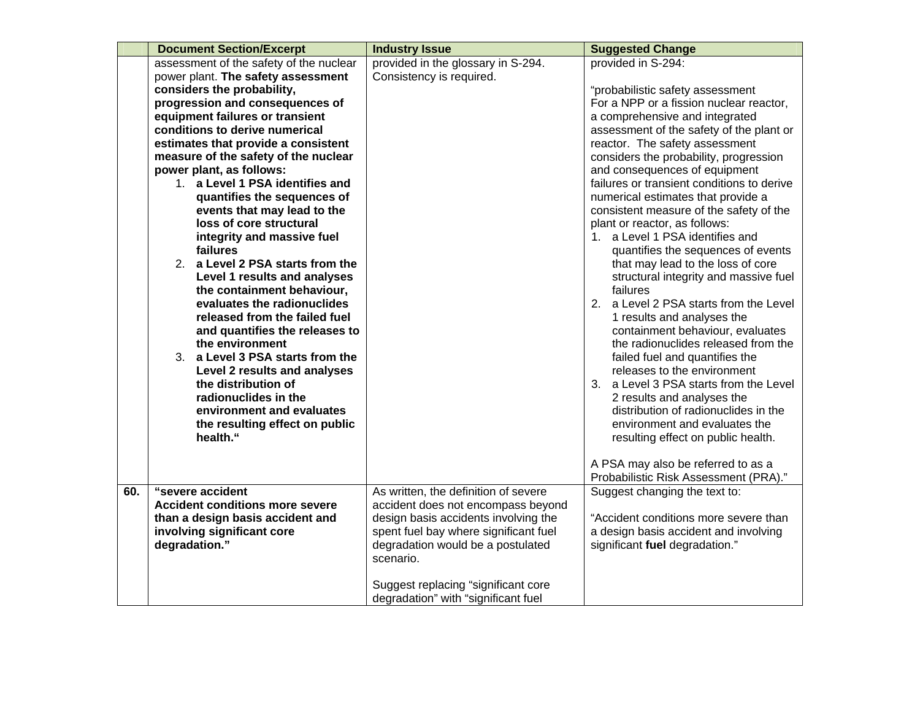|     | <b>Document Section/Excerpt</b>                                                                                                                                                                                                                                                                                                                                                                                                                                                                                                                                                                                                                                                                                                                                                                                                          | <b>Industry Issue</b>                                                                                                           | <b>Suggested Change</b>                                                                                                                                                                                                                                                                                                                                                                                                                                                                                                                                                                                                                                                                                                                                                                                                                                                                                                                                                                                              |
|-----|------------------------------------------------------------------------------------------------------------------------------------------------------------------------------------------------------------------------------------------------------------------------------------------------------------------------------------------------------------------------------------------------------------------------------------------------------------------------------------------------------------------------------------------------------------------------------------------------------------------------------------------------------------------------------------------------------------------------------------------------------------------------------------------------------------------------------------------|---------------------------------------------------------------------------------------------------------------------------------|----------------------------------------------------------------------------------------------------------------------------------------------------------------------------------------------------------------------------------------------------------------------------------------------------------------------------------------------------------------------------------------------------------------------------------------------------------------------------------------------------------------------------------------------------------------------------------------------------------------------------------------------------------------------------------------------------------------------------------------------------------------------------------------------------------------------------------------------------------------------------------------------------------------------------------------------------------------------------------------------------------------------|
|     | assessment of the safety of the nuclear<br>power plant. The safety assessment                                                                                                                                                                                                                                                                                                                                                                                                                                                                                                                                                                                                                                                                                                                                                            | provided in the glossary in S-294.<br>Consistency is required.                                                                  | provided in S-294:                                                                                                                                                                                                                                                                                                                                                                                                                                                                                                                                                                                                                                                                                                                                                                                                                                                                                                                                                                                                   |
|     | considers the probability,<br>progression and consequences of<br>equipment failures or transient<br>conditions to derive numerical<br>estimates that provide a consistent<br>measure of the safety of the nuclear<br>power plant, as follows:<br>1. a Level 1 PSA identifies and<br>quantifies the sequences of<br>events that may lead to the<br>loss of core structural<br>integrity and massive fuel<br>failures<br>2. a Level 2 PSA starts from the<br>Level 1 results and analyses<br>the containment behaviour,<br>evaluates the radionuclides<br>released from the failed fuel<br>and quantifies the releases to<br>the environment<br>3. a Level 3 PSA starts from the<br>Level 2 results and analyses<br>the distribution of<br>radionuclides in the<br>environment and evaluates<br>the resulting effect on public<br>health." |                                                                                                                                 | "probabilistic safety assessment<br>For a NPP or a fission nuclear reactor,<br>a comprehensive and integrated<br>assessment of the safety of the plant or<br>reactor. The safety assessment<br>considers the probability, progression<br>and consequences of equipment<br>failures or transient conditions to derive<br>numerical estimates that provide a<br>consistent measure of the safety of the<br>plant or reactor, as follows:<br>1. a Level 1 PSA identifies and<br>quantifies the sequences of events<br>that may lead to the loss of core<br>structural integrity and massive fuel<br>failures<br>2. a Level 2 PSA starts from the Level<br>1 results and analyses the<br>containment behaviour, evaluates<br>the radionuclides released from the<br>failed fuel and quantifies the<br>releases to the environment<br>3. a Level 3 PSA starts from the Level<br>2 results and analyses the<br>distribution of radionuclides in the<br>environment and evaluates the<br>resulting effect on public health. |
|     |                                                                                                                                                                                                                                                                                                                                                                                                                                                                                                                                                                                                                                                                                                                                                                                                                                          |                                                                                                                                 | A PSA may also be referred to as a<br>Probabilistic Risk Assessment (PRA)."                                                                                                                                                                                                                                                                                                                                                                                                                                                                                                                                                                                                                                                                                                                                                                                                                                                                                                                                          |
| 60. | "severe accident<br><b>Accident conditions more severe</b>                                                                                                                                                                                                                                                                                                                                                                                                                                                                                                                                                                                                                                                                                                                                                                               | As written, the definition of severe<br>accident does not encompass beyond                                                      | Suggest changing the text to:                                                                                                                                                                                                                                                                                                                                                                                                                                                                                                                                                                                                                                                                                                                                                                                                                                                                                                                                                                                        |
|     | than a design basis accident and<br>involving significant core<br>degradation."                                                                                                                                                                                                                                                                                                                                                                                                                                                                                                                                                                                                                                                                                                                                                          | design basis accidents involving the<br>spent fuel bay where significant fuel<br>degradation would be a postulated<br>scenario. | "Accident conditions more severe than<br>a design basis accident and involving<br>significant fuel degradation."                                                                                                                                                                                                                                                                                                                                                                                                                                                                                                                                                                                                                                                                                                                                                                                                                                                                                                     |
|     |                                                                                                                                                                                                                                                                                                                                                                                                                                                                                                                                                                                                                                                                                                                                                                                                                                          | Suggest replacing "significant core<br>degradation" with "significant fuel                                                      |                                                                                                                                                                                                                                                                                                                                                                                                                                                                                                                                                                                                                                                                                                                                                                                                                                                                                                                                                                                                                      |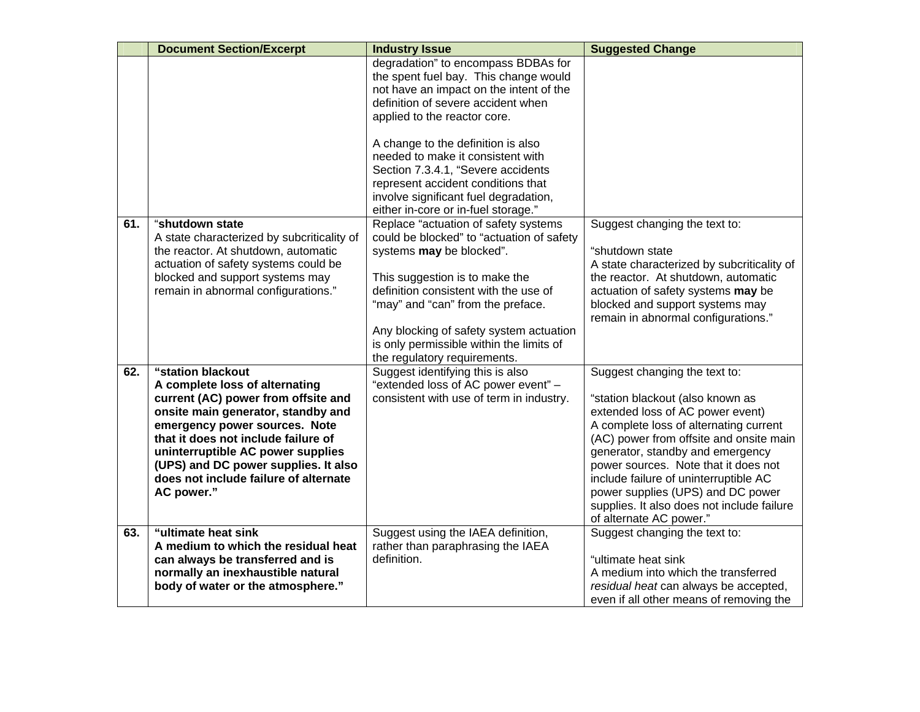|     | <b>Document Section/Excerpt</b>                                         | <b>Industry Issue</b>                                                                                                                                                                         | <b>Suggested Change</b>                                                           |
|-----|-------------------------------------------------------------------------|-----------------------------------------------------------------------------------------------------------------------------------------------------------------------------------------------|-----------------------------------------------------------------------------------|
|     |                                                                         | degradation" to encompass BDBAs for<br>the spent fuel bay. This change would<br>not have an impact on the intent of the<br>definition of severe accident when<br>applied to the reactor core. |                                                                                   |
|     |                                                                         | A change to the definition is also<br>needed to make it consistent with                                                                                                                       |                                                                                   |
|     |                                                                         | Section 7.3.4.1, "Severe accidents                                                                                                                                                            |                                                                                   |
|     |                                                                         | represent accident conditions that<br>involve significant fuel degradation,                                                                                                                   |                                                                                   |
|     |                                                                         | either in-core or in-fuel storage."                                                                                                                                                           |                                                                                   |
| 61. | "shutdown state<br>A state characterized by subcriticality of           | Replace "actuation of safety systems<br>could be blocked" to "actuation of safety                                                                                                             | Suggest changing the text to:                                                     |
|     | the reactor. At shutdown, automatic                                     | systems may be blocked".                                                                                                                                                                      | "shutdown state                                                                   |
|     | actuation of safety systems could be<br>blocked and support systems may | This suggestion is to make the                                                                                                                                                                | A state characterized by subcriticality of<br>the reactor. At shutdown, automatic |
|     | remain in abnormal configurations."                                     | definition consistent with the use of                                                                                                                                                         | actuation of safety systems may be                                                |
|     |                                                                         | "may" and "can" from the preface.                                                                                                                                                             | blocked and support systems may<br>remain in abnormal configurations."            |
|     |                                                                         | Any blocking of safety system actuation<br>is only permissible within the limits of                                                                                                           |                                                                                   |
|     |                                                                         | the regulatory requirements.                                                                                                                                                                  |                                                                                   |
| 62. | "station blackout<br>A complete loss of alternating                     | Suggest identifying this is also<br>"extended loss of AC power event" -                                                                                                                       | Suggest changing the text to:                                                     |
|     | current (AC) power from offsite and                                     | consistent with use of term in industry.                                                                                                                                                      | "station blackout (also known as                                                  |
|     | onsite main generator, standby and                                      |                                                                                                                                                                                               | extended loss of AC power event)                                                  |
|     | emergency power sources. Note<br>that it does not include failure of    |                                                                                                                                                                                               | A complete loss of alternating current<br>(AC) power from offsite and onsite main |
|     | uninterruptible AC power supplies                                       |                                                                                                                                                                                               | generator, standby and emergency                                                  |
|     | (UPS) and DC power supplies. It also                                    |                                                                                                                                                                                               | power sources. Note that it does not                                              |
|     | does not include failure of alternate<br>AC power."                     |                                                                                                                                                                                               | include failure of uninterruptible AC<br>power supplies (UPS) and DC power        |
|     |                                                                         |                                                                                                                                                                                               | supplies. It also does not include failure                                        |
|     |                                                                         |                                                                                                                                                                                               | of alternate AC power."                                                           |
| 63. | "ultimate heat sink                                                     | Suggest using the IAEA definition,                                                                                                                                                            | Suggest changing the text to:                                                     |
|     | A medium to which the residual heat<br>can always be transferred and is | rather than paraphrasing the IAEA<br>definition.                                                                                                                                              | "ultimate heat sink                                                               |
|     | normally an inexhaustible natural                                       |                                                                                                                                                                                               | A medium into which the transferred                                               |
|     | body of water or the atmosphere."                                       |                                                                                                                                                                                               | residual heat can always be accepted,                                             |
|     |                                                                         |                                                                                                                                                                                               | even if all other means of removing the                                           |